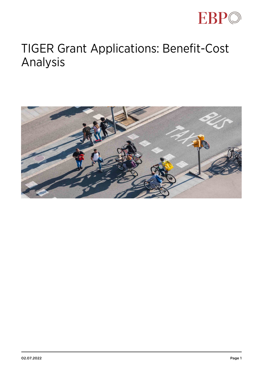

## TIGER Grant Applications: Benefit-Cost Analysis

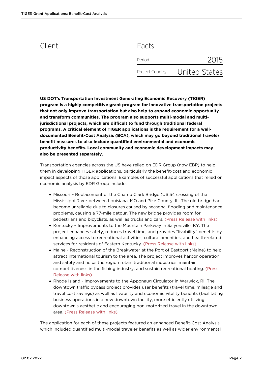## Client Facts

| Period          | 2015          |
|-----------------|---------------|
| Project Country | United States |

**US DOT's Transportation Investment Generating Economic Recovery (TIGER) program is a highly competitive grant program for innovative transportation projects that not only improve transportation but also help to expand economic opportunity and transform communities. The program also supports multi-modal and multijurisdictional projects, which are difficult to fund through traditional federal programs. A critical element of TIGER applications is the requirement for a welldocumented Benefit-Cost Analysis (BCA), which may go beyond traditional traveler benefit measures to also include quantified environmental and economic productivity benefits. Local community and economic development impacts may also be presented separately.**

Transportation agencies across the US have relied on EDR Group (now EBP) to help them in developing TIGER applications, particularly the benefit-cost and economic impact aspects of those applications. Examples of successful applications that relied on economic analysis by EDR Group include:

- Missouri Replacement of the Champ Clark Bridge (US 54 crossing of the Mississippi River between Louisiana, MO and Pike County, IL. The old bridge had become unreliable due to closures caused by seasonal flooding and maintenance problems, causing a 77-mile detour. The new bridge provides room for pedestrians and bicyclists, as well as trucks and cars. [\(Press Release with links\)](https://www.ebp-us.com/publications/edrg-group-assists-modot-win-tiger-grant-bridge-replacement-project)
- Kentucky Improvements to the Mountain Parkway in Salyersville, KY. The project enhances safety, reduces travel time, and provides "livability" benefits by enhancing access to recreational activities, cultural amenities, and health-related services for residents of Eastern Kentucky. [\(Press Release with links\)](https://www.ebp-us.com/publications/edr-group-helps-applicant-win-largest-rural-tiger-grant)
- Maine Reconstruction of the Breakwater at the Port of Eastport (Maine) to help attract international tourism to the area. The project improves harbor operation and safety and helps the region retain traditional industries, maintain competitiveness in the fishing industry, and sustain recreational boating. [\(Press](https://www.ebp-us.com/publications/edr-group-helps-two-tiger-applicants-win-discretionary-grants) [Release with links\)](https://www.ebp-us.com/publications/edr-group-helps-two-tiger-applicants-win-discretionary-grants)
- Rhode Island Improvements to the Apponaug Circulator in Warwick, RI. The downtown traffic bypass project provides user benefits (travel time, mileage and travel cost savings) as well as livability and economic vitality benefits (facilitating business operations in a new downtown facility, more efficiently utilizing downtown's aesthetic and encouraging non-motorized travel in the downtown area. [\(Press Release with links\)](https://www.ebp-us.com/publications/edr-group-helps-two-tiger-applicants-win-discretionary-grants)

The application for each of these projects featured an enhanced Benefit-Cost Analysis which included quantified multi-modal traveler benefits as well as wider environmental